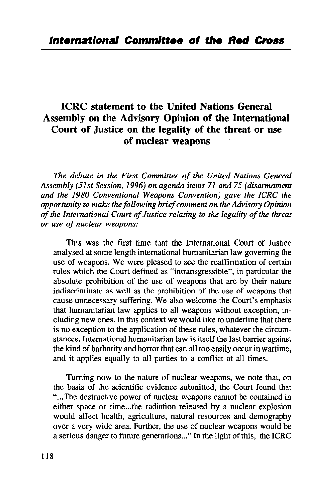## **ICRC statement to the United Nations General Assembly on the Advisory Opinion of the International Court of Justice on the legality of the threat or use of nuclear weapons**

*The debate in the First Committee of the United Nations General Assembly (51st Session, 1996) on agenda items 71 and 75 (disarmament and the 1980 Conventional Weapons Convention) gave the ICRC the opportunity to make the following brief comment on the Advisory Opinion of the International Court of Justice relating to the legality of the threat or use of nuclear weapons:*

This was the first time that the International Court of Justice analysed at some length international humanitarian law governing the use of weapons. We were pleased to see the reaffirmation of certain rules which the Court defined as "intransgressible", in particular the absolute prohibition of the use of weapons that are by their nature indiscriminate as well as the prohibition of the use of weapons that cause unnecessary suffering. We also welcome the Court's emphasis that humanitarian law applies to all weapons without exception, including new ones. In this context we would like to underline that there is no exception to the application of these rules, whatever the circumstances. International humanitarian law is itself the last barrier against the kind of barbarity and horror that can all too easily occur in wartime, and it applies equally to all parties to a conflict at all times.

Turning now to the nature of nuclear weapons, we note that, on the basis of the scientific evidence submitted, the Court found that "...The destructive power of nuclear weapons cannot be contained in either space or time...the radiation released by a nuclear explosion would affect health, agriculture, natural resources and demography over a very wide area. Further, the use of nuclear weapons would be a serious danger to future generations..." In the light of this, the ICRC